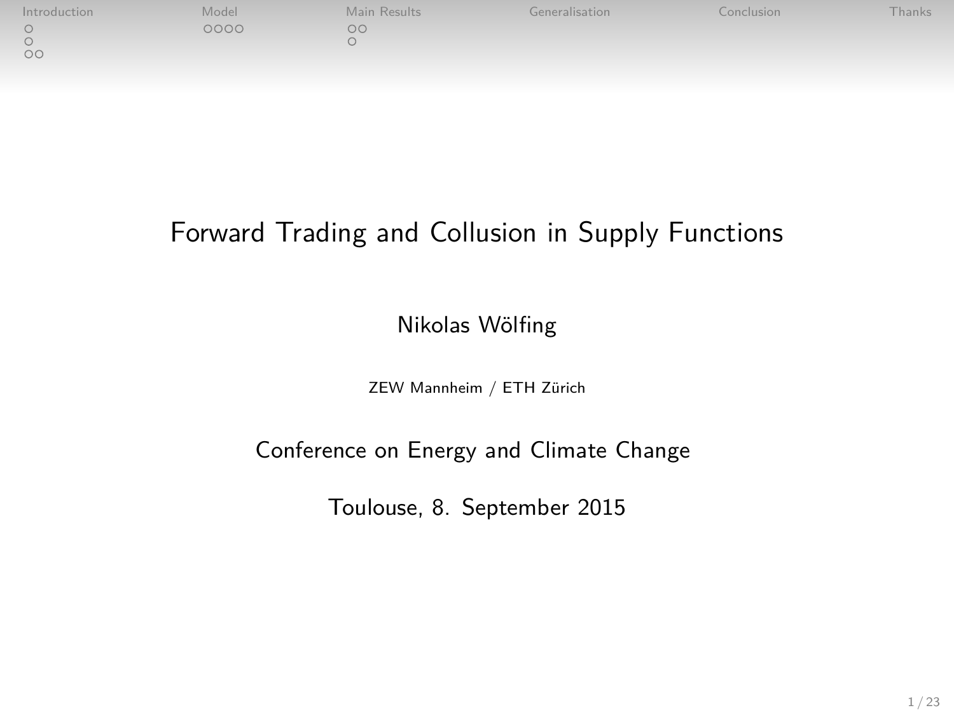| Introduction | Model | Main Results | Generalisation | <b>Conclusion</b> | Thanks |
|--------------|-------|--------------|----------------|-------------------|--------|
| OC           | 2000  | OС           |                |                   |        |
|              |       |              |                |                   |        |

# Forward Trading and Collusion in Supply Functions

Nikolas Wölfing

ZEW Mannheim / ETH Zürich

Conference on Energy and Climate Change

Toulouse, 8. September 2015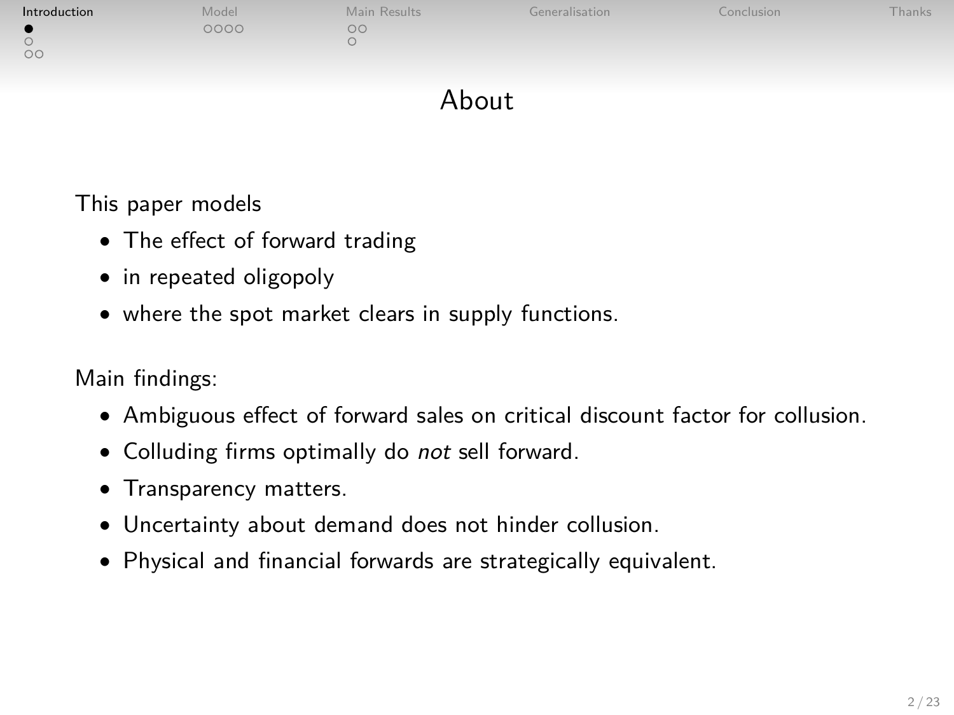| Introduction | Model | Main Results | Generalisation | Conclusion | Thanks |
|--------------|-------|--------------|----------------|------------|--------|
| $^{\circ}$   | 200C  | ಂ            |                |            |        |

## <span id="page-1-0"></span>About

This paper models

- The effect of forward trading
- in repeated oligopoly
- where the spot market clears in supply functions.

Main findings:

- Ambiguous effect of forward sales on critical discount factor for collusion.
- Colluding firms optimally do not sell forward.
- Transparency matters.
- Uncertainty about demand does not hinder collusion.
- Physical and financial forwards are strategically equivalent.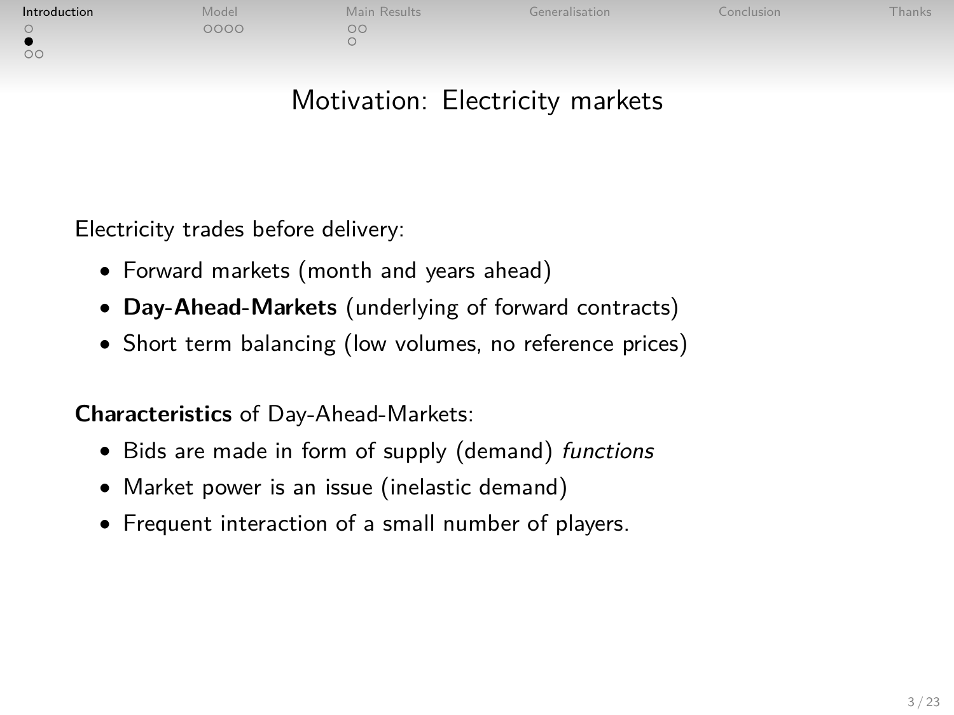| Introduction | Model | Main Results | Generalisation | Conclusion | -hanks |
|--------------|-------|--------------|----------------|------------|--------|
|              | 2000  | nr           |                |            |        |
| $\circ$      |       |              |                |            |        |

# Motivation: Electricity markets

Electricity trades before delivery:

- Forward markets (month and years ahead)
- **Day-Ahead-Markets** (underlying of forward contracts)
- Short term balancing (low volumes, no reference prices)

**Characteristics** of Day-Ahead-Markets:

- Bids are made in form of supply (demand) functions
- Market power is an issue (inelastic demand)
- Frequent interaction of a small number of players.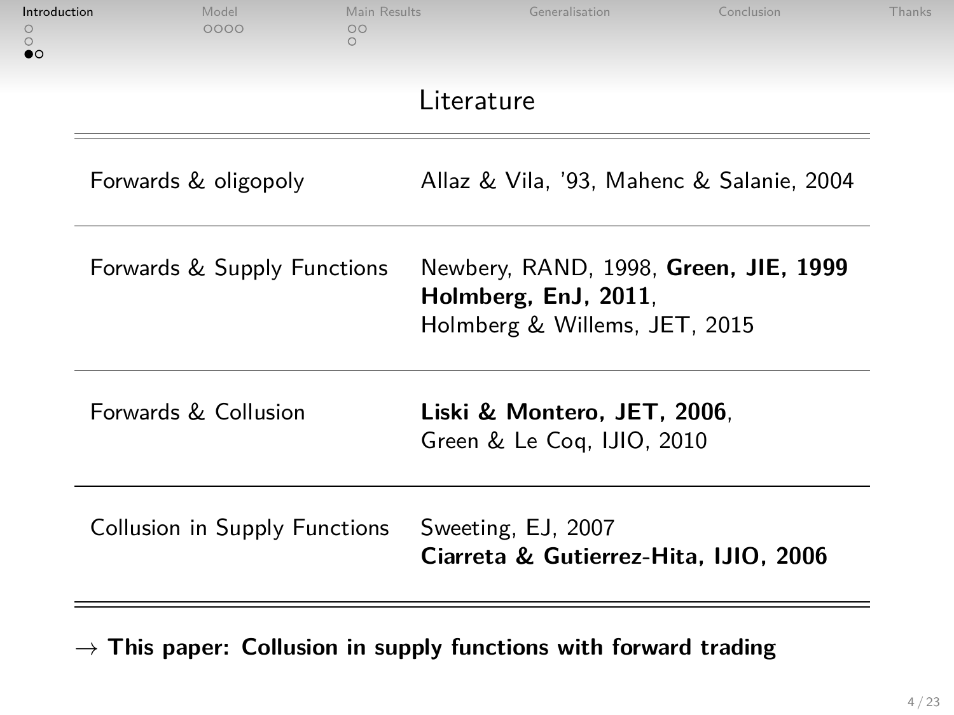| Introduction<br>$\circ$<br>$\bullet$ | Model<br>0000                 | Main Results<br>$\circ$<br>$\bigcirc$ | Generalisation                                              | Conclusion                                | Thanks |
|--------------------------------------|-------------------------------|---------------------------------------|-------------------------------------------------------------|-------------------------------------------|--------|
|                                      |                               |                                       | Literature                                                  |                                           |        |
|                                      | Forwards & oligopoly          |                                       |                                                             | Allaz & Vila, '93, Mahenc & Salanie, 2004 |        |
|                                      | Forwards & Supply Functions   |                                       | Holmberg, EnJ, 2011.<br>Holmberg & Willems, JET, 2015       | Newbery, RAND, 1998, Green, JIE, 1999     |        |
|                                      | Forwards & Collusion          |                                       | Liski & Montero, JET, 2006.<br>Green & Le Cog, IJIO, 2010   |                                           |        |
|                                      | Collusion in Supply Functions |                                       | Sweeting, EJ, 2007<br>Ciarreta & Gutierrez-Hita, IJIO, 2006 |                                           |        |

→ **This paper: Collusion in supply functions with forward trading**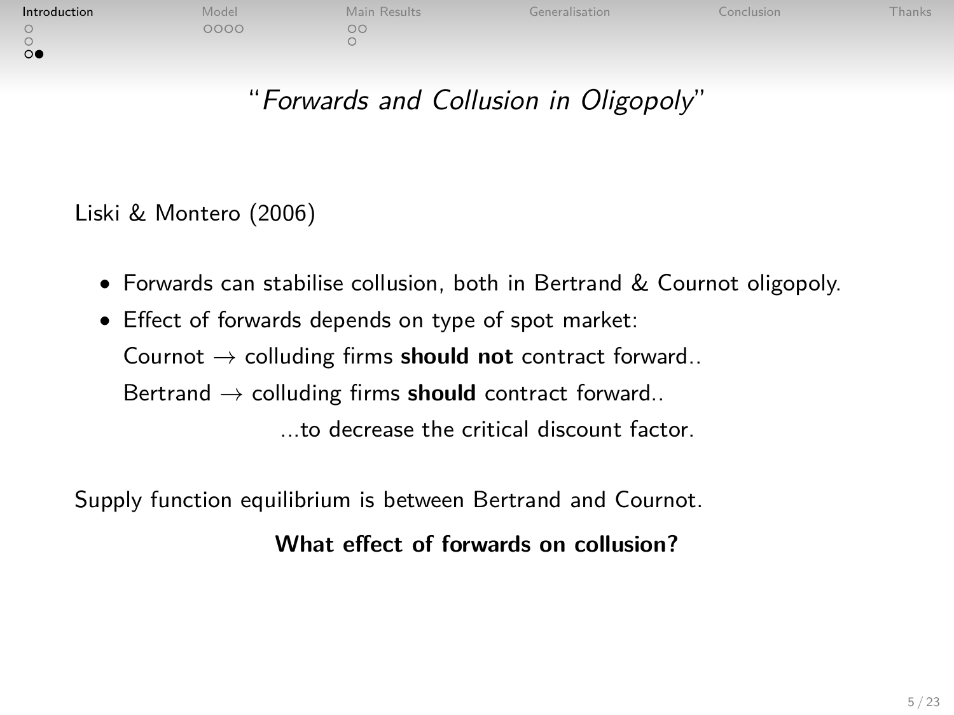| Introduction | Model | Main Results | Generalisation | Conclusion. | <b>Thanks</b> |
|--------------|-------|--------------|----------------|-------------|---------------|
|              | DOOC  | OΟ           |                |             |               |
| $\circ$      |       |              |                |             |               |
| $\Omega$     |       |              |                |             |               |

# "Forwards and Collusion in Oligopoly"

Liski & Montero (2006)

- Forwards can stabilise collusion, both in Bertrand & Cournot oligopoly.
- Effect of forwards depends on type of spot market: Cournot → colluding firms **should not** contract forward.. Bertrand → colluding firms **should** contract forward.. ...to decrease the critical discount factor.

Supply function equilibrium is between Bertrand and Cournot.

**What effect of forwards on collusion?**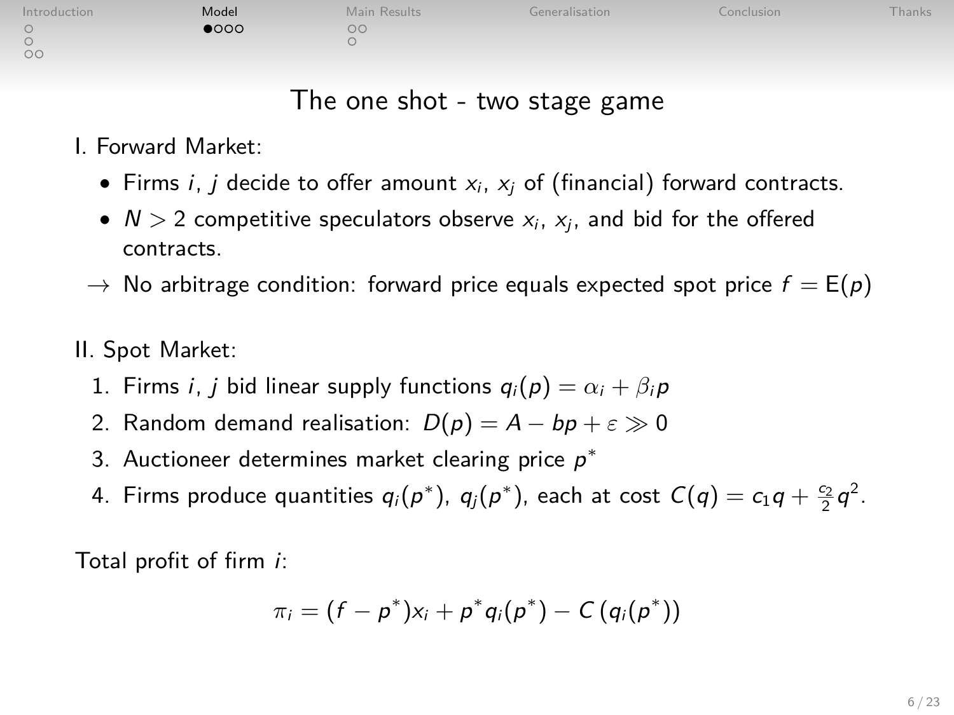| Introduction | Model       | Main Results | Generalisation | Conclusion | Thanks |
|--------------|-------------|--------------|----------------|------------|--------|
|              | <b>1000</b> | OС           |                |            |        |
|              |             |              |                |            |        |
| $\circ$      |             |              |                |            |        |

|         | Main Result: |
|---------|--------------|
| $\circ$ |              |
| $\circ$ |              |

## The one shot - two stage game

I. Forward Market:

- Firms i, j decide to offer amount  $x_i$ ,  $x_i$  of (financial) forward contracts.
- $N > 2$  competitive speculators observe  $x_i$ ,  $x_j$ , and bid for the offered contracts.
- $\rightarrow$  No arbitrage condition: forward price equals expected spot price  $f = E(p)$
- II. Spot Market:
	- 1. Firms *i*, *j* bid linear supply functions  $q_i(p) = \alpha_i + \beta_i p$
	- 2. Random demand realisation:  $D(p) = A bp + \epsilon \gg 0$
	- 3. Auctioneer determines market clearing price  $p^*$
	- 4. Firms produce quantities  $q_i(p^*)$ ,  $q_j(p^*)$ , each at cost  $C(q) = c_1q + \frac{c_2}{2}q^2$ .

Total profit of firm i:

<span id="page-5-0"></span>
$$
\pi_i = (f - p^*)x_i + p^*q_i(p^*) - C(q_i(p^*))
$$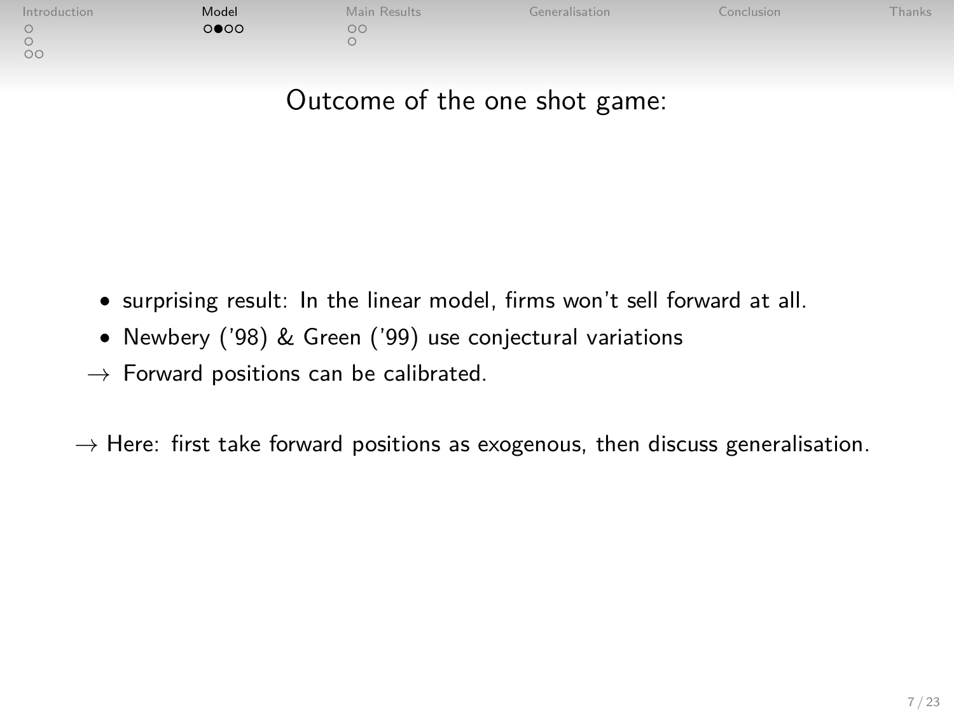| Introduction | Model | Main Results  | Generalisation | Conclusion <sup>1</sup> | Fhanks |
|--------------|-------|---------------|----------------|-------------------------|--------|
| $\circ$      | ⊙●೦೦  | $\circ \circ$ |                |                         |        |

# Outcome of the one shot game:

- surprising result: In the linear model, firms won't sell forward at all.
- Newbery ('98) & Green ('99) use conjectural variations
- $\rightarrow$  Forward positions can be calibrated.

 $\rightarrow$  Here: first take forward positions as exogenous, then discuss generalisation.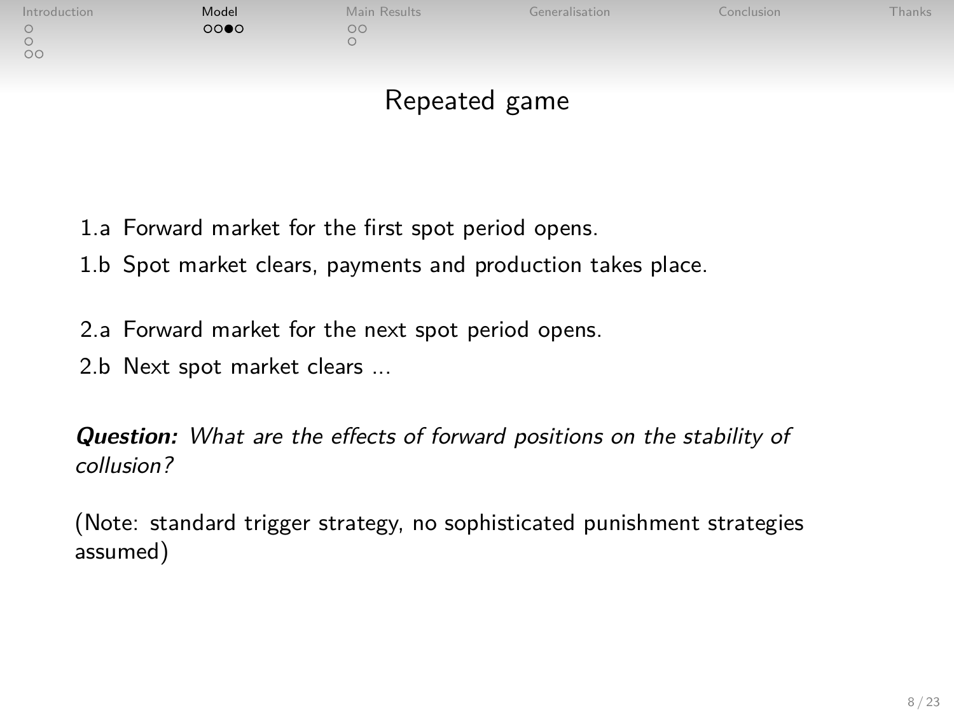| Introduction  | Model | Main Results | Generalisation | Conclusion <sup>®</sup> | <b>Thanks</b> |
|---------------|-------|--------------|----------------|-------------------------|---------------|
|               | 0000  | OC           |                |                         |               |
|               |       |              |                |                         |               |
| $\sim$ $\sim$ |       |              |                |                         |               |

# Repeated game

- 1.a Forward market for the first spot period opens.
- 1.b Spot market clears, payments and production takes place.
- 2.a Forward market for the next spot period opens.
- 2.b Next spot market clears ...

**Question:** What are the effects of forward positions on the stability of collusion?

(Note: standard trigger strategy, no sophisticated punishment strategies assumed)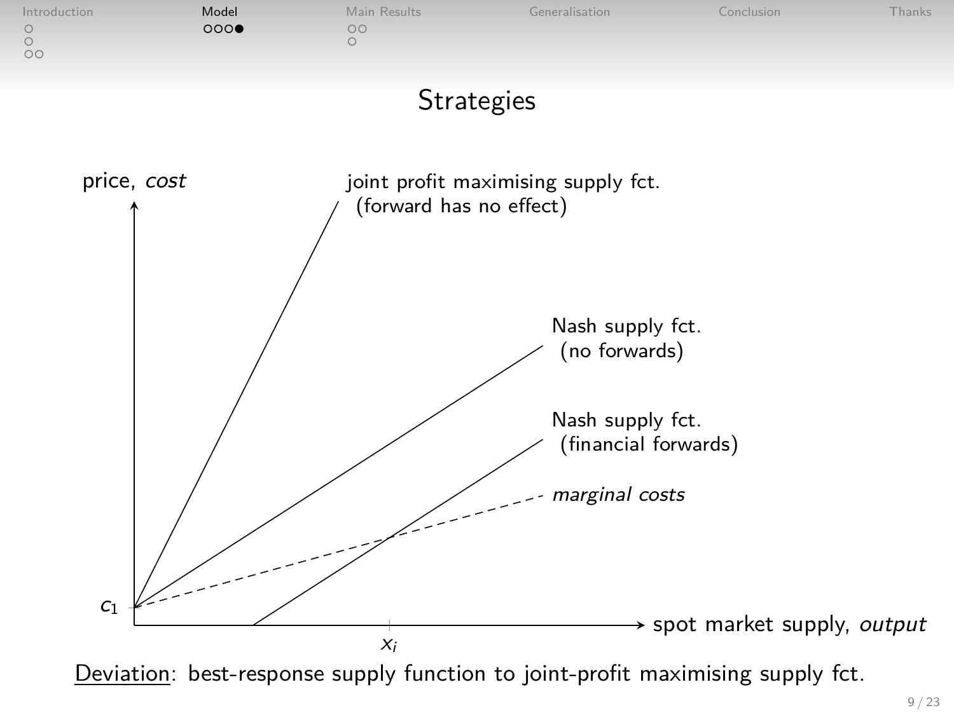

Deviation: best-response supply function to joint-profit maximising supply fct.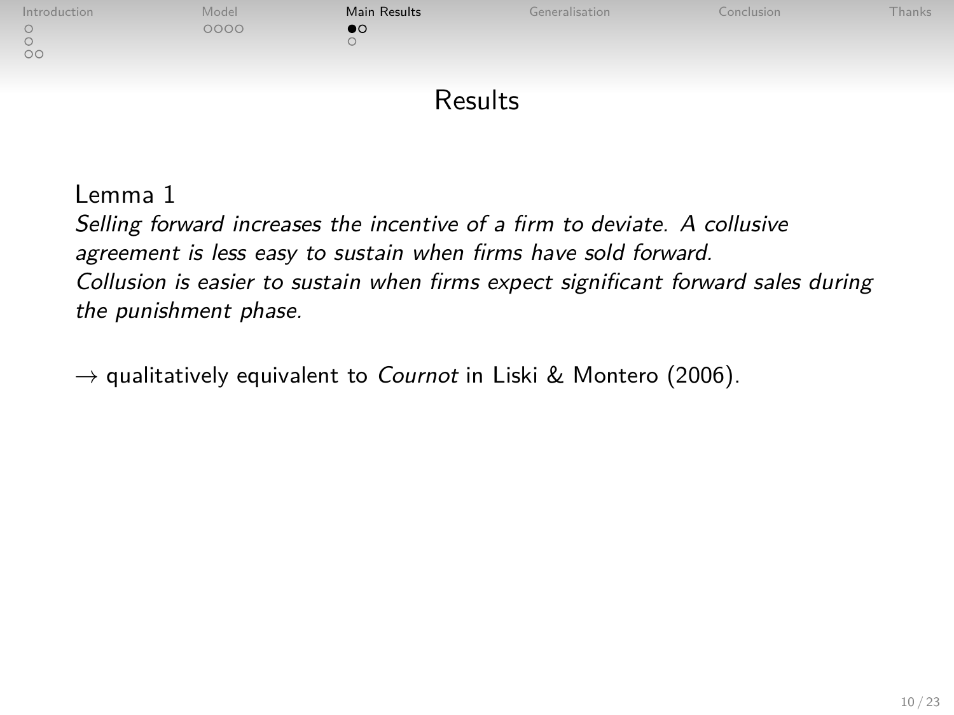| Introduction | Model | Main Results | Generalisation | Conclusion | <b>Thanks</b> |
|--------------|-------|--------------|----------------|------------|---------------|
| $\circ$      | 0000  |              |                |            |               |

## <span id="page-9-0"></span>**Results**

#### Lemma 1

Selling forward increases the incentive of a firm to deviate. A collusive agreement is less easy to sustain when firms have sold forward. Collusion is easier to sustain when firms expect significant forward sales during the punishment phase.

 $\rightarrow$  qualitatively equivalent to *Cournot* in Liski & Montero (2006).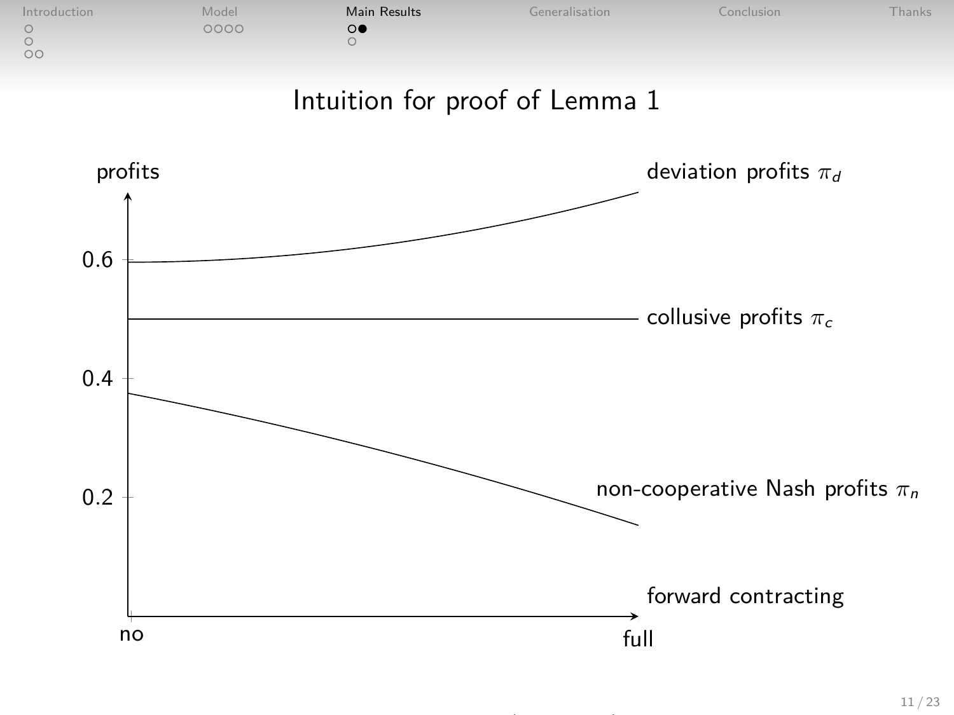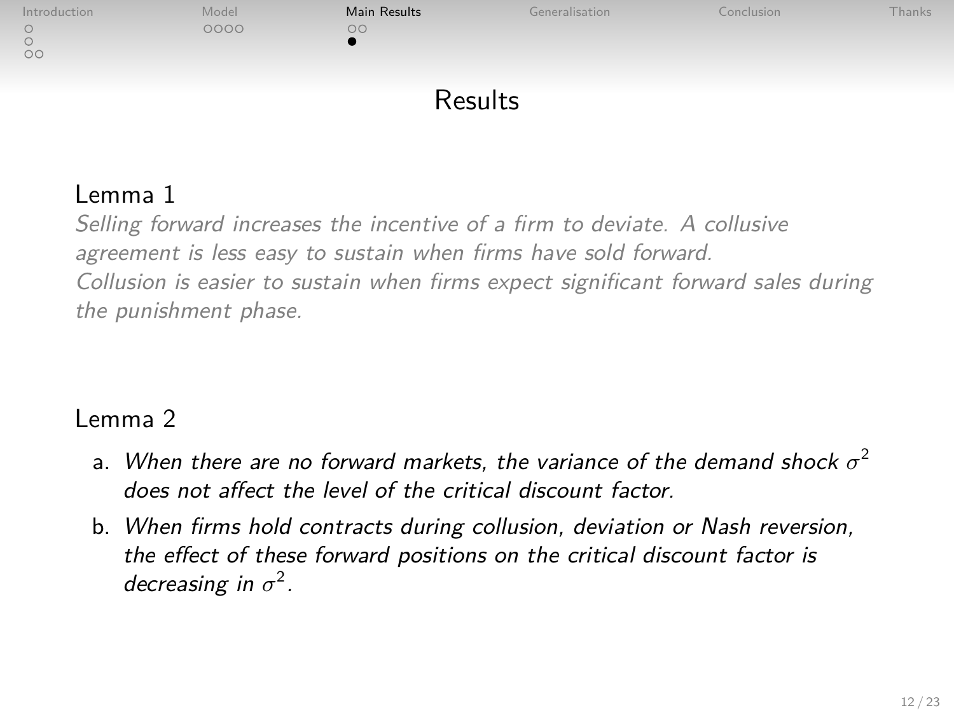

## Results

## Lemma 1

Selling forward increases the incentive of a firm to deviate. A collusive agreement is less easy to sustain when firms have sold forward. Collusion is easier to sustain when firms expect significant forward sales during the punishment phase.

#### Lemma 2

- a. When there are no forward markets, the variance of the demand shock  $\sigma^2$ does not affect the level of the critical discount factor.
- b. When firms hold contracts during collusion, deviation or Nash reversion, the effect of these forward positions on the critical discount factor is decreasing in  $\sigma^2$ .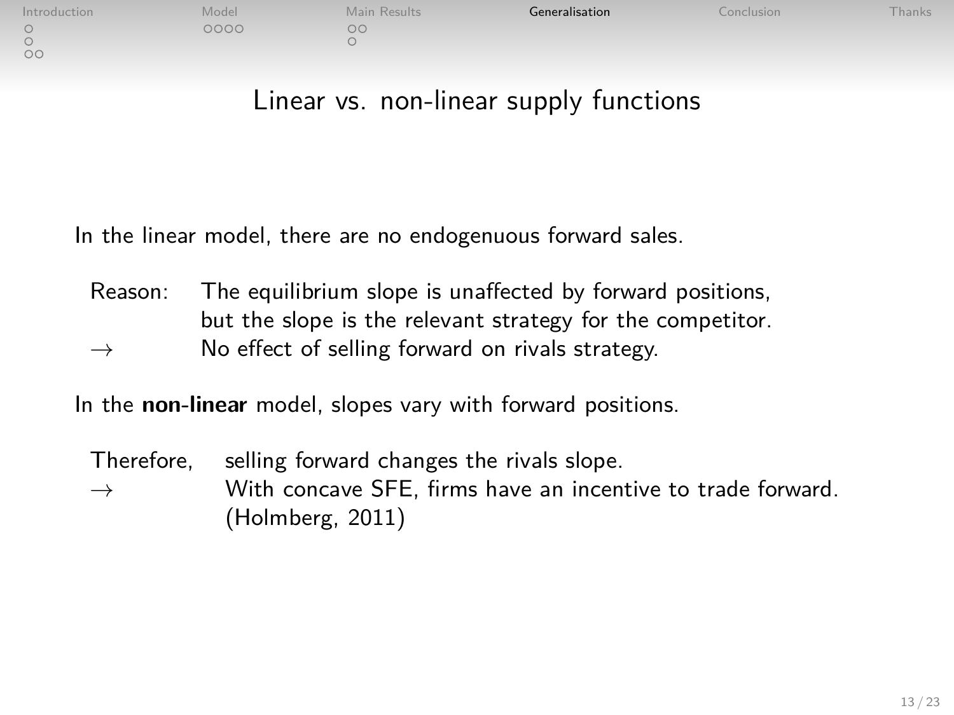| Introduction | Model | Main Results | Generalisation | conclusion | hanks |
|--------------|-------|--------------|----------------|------------|-------|
|              | 0000  | oc           |                |            |       |
| $\sim$       |       |              |                |            |       |
| $\cap$       |       |              |                |            |       |

## Linear vs. non-linear supply functions

In the linear model, there are no endogenuous forward sales.

Reason: The equilibrium slope is unaffected by forward positions, but the slope is the relevant strategy for the competitor.  $\rightarrow$  No effect of selling forward on rivals strategy.

In the **non-linear** model, slopes vary with forward positions.

<span id="page-12-0"></span>Therefore, selling forward changes the rivals slope.  $\rightarrow$  With concave SFE, firms have an incentive to trade forward. (Holmberg, 2011)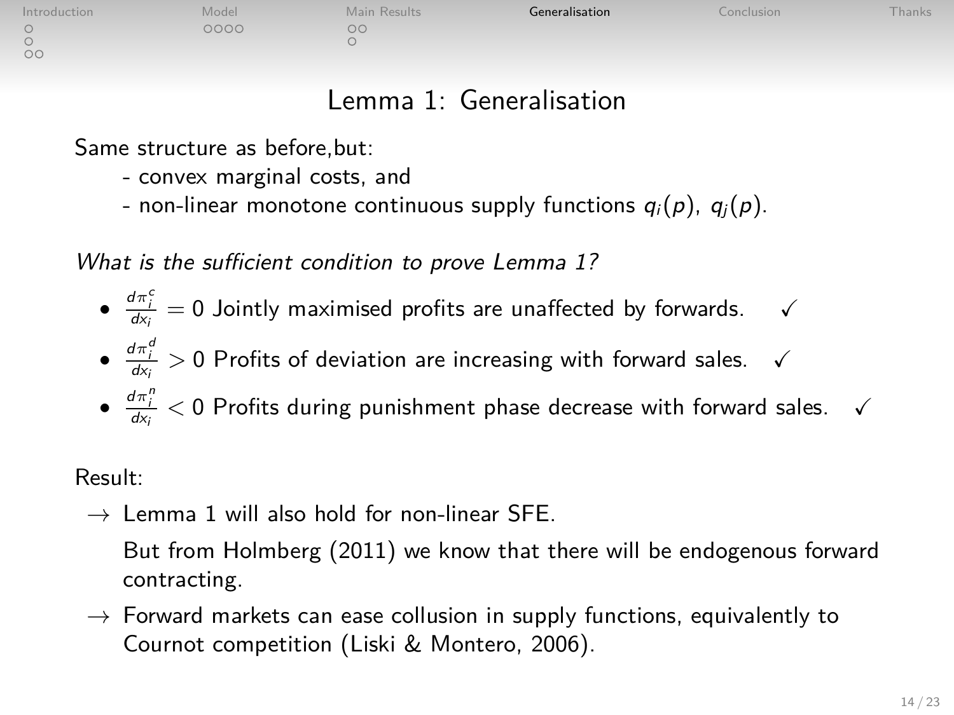| Introduction | Model | Main Results | Generalisation | Conclusion | hanks |
|--------------|-------|--------------|----------------|------------|-------|
|              | 000C  | oc           |                |            |       |
|              |       |              |                |            |       |

## Lemma 1: Generalisation

Same structure as before,but:

- convex marginal costs, and
- non-linear monotone continuous supply functions  $q_i(p)$ ,  $q_j(p)$ .

What is the sufficient condition to prove Lemma 1?

- $\bullet$   $\frac{d\pi_i^c}{dx_i} = 0$  Jointly maximised profits are unaffected by forwards.  $\checkmark$
- $\bullet$   $\frac{d\pi_i^d}{dx_i} > 0$  Profits of deviation are increasing with forward sales.  $\checkmark$
- $\bullet$   $\frac{d\pi_i^n}{dx_i} < 0$  Profits during punishment phase decrease with forward sales.  $\checkmark$

Result:

 $\overline{0}$ 

 $\rightarrow$  Lemma 1 will also hold for non-linear SFF.

But from Holmberg (2011) we know that there will be endogenous forward contracting.

 $\rightarrow$  Forward markets can ease collusion in supply functions, equivalently to Cournot competition (Liski & Montero, 2006).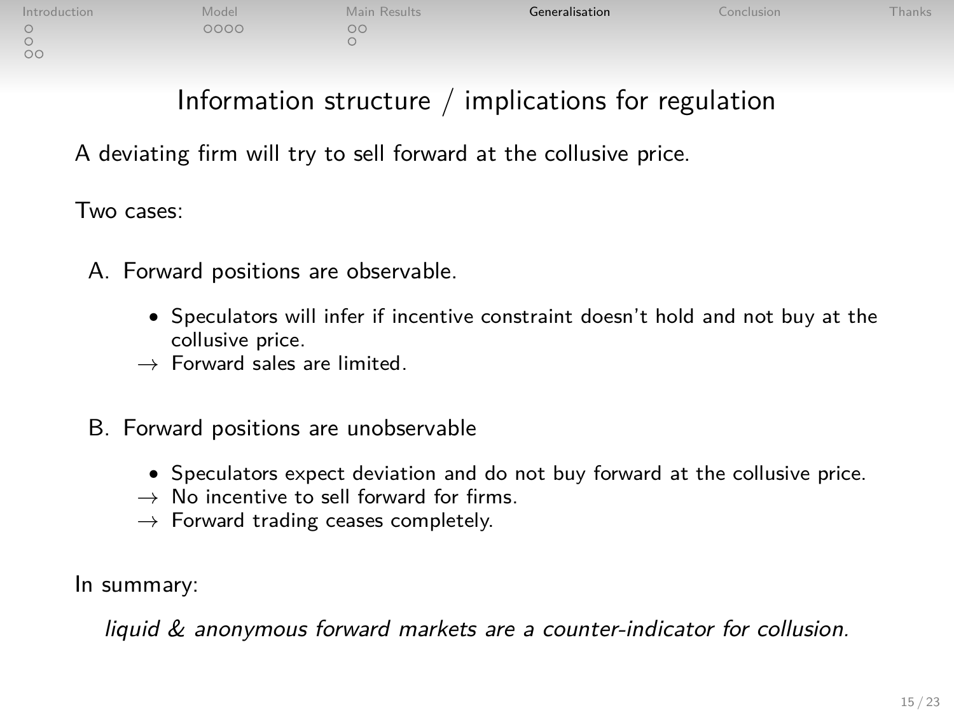# Information structure / implications for regulation

A deviating firm will try to sell forward at the collusive price.

Two cases:

- A. Forward positions are observable.
	- Speculators will infer if incentive constraint doesn't hold and not buy at the collusive price.
	- $\rightarrow$  Forward sales are limited.
- B. Forward positions are unobservable
	- Speculators expect deviation and do not buy forward at the collusive price.
	- $\rightarrow$  No incentive to sell forward for firms.
	- $\rightarrow$  Forward trading ceases completely.

In summary:

liquid & anonymous forward markets are a counter-indicator for collusion.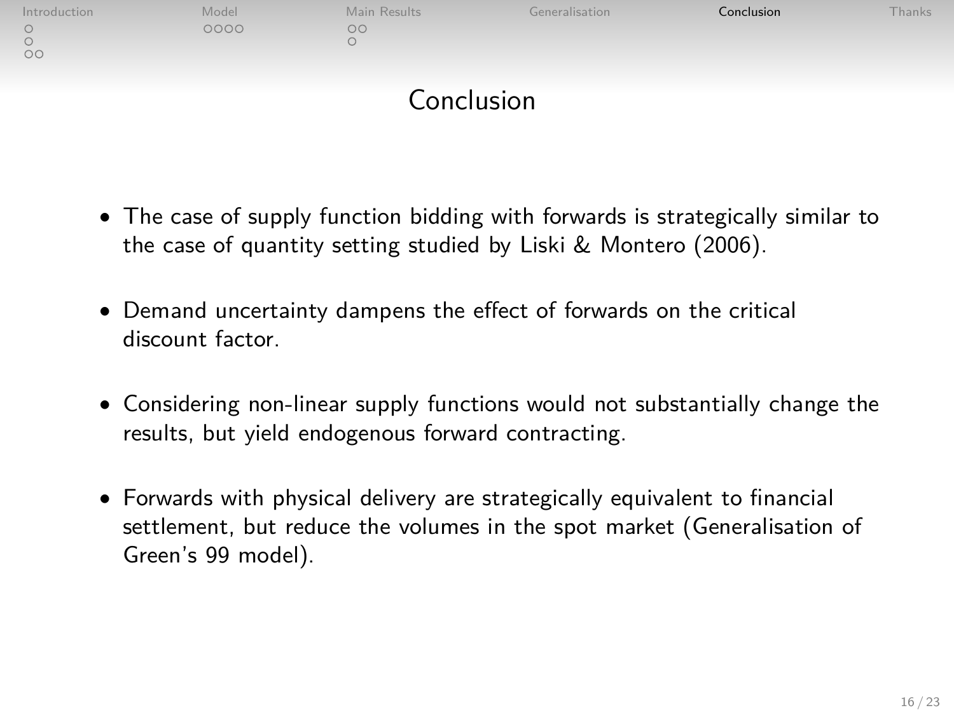| Introduction | Model | Main Results | Generalisation | Conclusion | Thanks |
|--------------|-------|--------------|----------------|------------|--------|
| $\circ$      | 0000  | $\circ$      |                |            |        |
| $\circ$      |       |              |                |            |        |
|              |       |              |                |            |        |
|              |       | Conclusion   |                |            |        |

- The case of supply function bidding with forwards is strategically similar to the case of quantity setting studied by Liski & Montero (2006).
- Demand uncertainty dampens the effect of forwards on the critical discount factor.
- Considering non-linear supply functions would not substantially change the results, but yield endogenous forward contracting.
- <span id="page-15-0"></span>• Forwards with physical delivery are strategically equivalent to financial settlement, but reduce the volumes in the spot market (Generalisation of Green's 99 model).